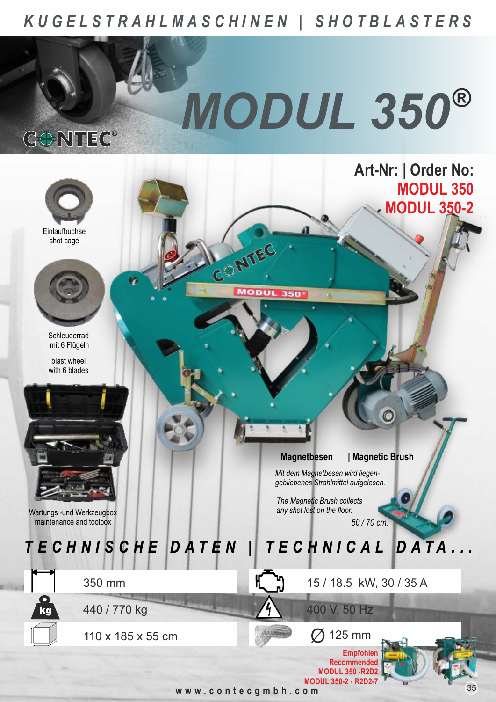## KUGELSTRAHLMASCHINEN | SHOTBLASTERS

CONTEC®